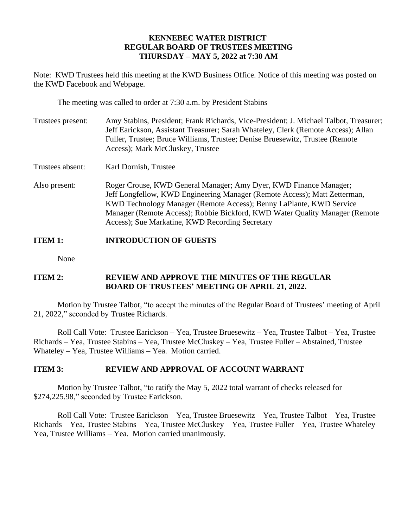## **KENNEBEC WATER DISTRICT REGULAR BOARD OF TRUSTEES MEETING THURSDAY – MAY 5, 2022 at 7:30 AM**

Note: KWD Trustees held this meeting at the KWD Business Office. Notice of this meeting was posted on the KWD Facebook and Webpage.

The meeting was called to order at 7:30 a.m. by President Stabins

- Trustees present: Amy Stabins, President; Frank Richards, Vice-President; J. Michael Talbot, Treasurer; Jeff Earickson, Assistant Treasurer; Sarah Whateley, Clerk (Remote Access); Allan Fuller, Trustee; Bruce Williams, Trustee; Denise Bruesewitz, Trustee (Remote Access); Mark McCluskey, Trustee
- Trustees absent: Karl Dornish, Trustee
- Also present: Roger Crouse, KWD General Manager; Amy Dyer, KWD Finance Manager; Jeff Longfellow, KWD Engineering Manager (Remote Access); Matt Zetterman, KWD Technology Manager (Remote Access); Benny LaPlante, KWD Service Manager (Remote Access); Robbie Bickford, KWD Water Quality Manager (Remote Access); Sue Markatine, KWD Recording Secretary

# **ITEM 1: INTRODUCTION OF GUESTS**

None

## **ITEM 2: REVIEW AND APPROVE THE MINUTES OF THE REGULAR BOARD OF TRUSTEES' MEETING OF APRIL 21, 2022.**

Motion by Trustee Talbot, "to accept the minutes of the Regular Board of Trustees' meeting of April 21, 2022," seconded by Trustee Richards.

Roll Call Vote: Trustee Earickson – Yea, Trustee Bruesewitz – Yea, Trustee Talbot – Yea, Trustee Richards – Yea, Trustee Stabins – Yea, Trustee McCluskey – Yea, Trustee Fuller – Abstained, Trustee Whateley – Yea, Trustee Williams – Yea. Motion carried.

### **ITEM 3: REVIEW AND APPROVAL OF ACCOUNT WARRANT**

Motion by Trustee Talbot, "to ratify the May 5, 2022 total warrant of checks released for \$274,225.98," seconded by Trustee Earickson.

Roll Call Vote: Trustee Earickson – Yea, Trustee Bruesewitz – Yea, Trustee Talbot – Yea, Trustee Richards – Yea, Trustee Stabins – Yea, Trustee McCluskey – Yea, Trustee Fuller – Yea, Trustee Whateley – Yea, Trustee Williams – Yea. Motion carried unanimously.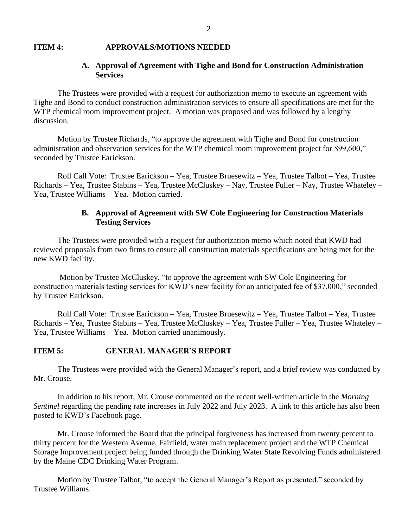#### **ITEM 4: APPROVALS/MOTIONS NEEDED**

## **A. Approval of Agreement with Tighe and Bond for Construction Administration Services**

The Trustees were provided with a request for authorization memo to execute an agreement with Tighe and Bond to conduct construction administration services to ensure all specifications are met for the WTP chemical room improvement project. A motion was proposed and was followed by a lengthy discussion.

Motion by Trustee Richards, "to approve the agreement with Tighe and Bond for construction administration and observation services for the WTP chemical room improvement project for \$99,600," seconded by Trustee Earickson.

Roll Call Vote: Trustee Earickson – Yea, Trustee Bruesewitz – Yea, Trustee Talbot – Yea, Trustee Richards – Yea, Trustee Stabins – Yea, Trustee McCluskey – Nay, Trustee Fuller – Nay, Trustee Whateley – Yea, Trustee Williams – Yea. Motion carried.

### **B. Approval of Agreement with SW Cole Engineering for Construction Materials Testing Services**

The Trustees were provided with a request for authorization memo which noted that KWD had reviewed proposals from two firms to ensure all construction materials specifications are being met for the new KWD facility.

Motion by Trustee McCluskey, "to approve the agreement with SW Cole Engineering for construction materials testing services for KWD's new facility for an anticipated fee of \$37,000," seconded by Trustee Earickson.

Roll Call Vote: Trustee Earickson – Yea, Trustee Bruesewitz – Yea, Trustee Talbot – Yea, Trustee Richards – Yea, Trustee Stabins – Yea, Trustee McCluskey – Yea, Trustee Fuller – Yea, Trustee Whateley – Yea, Trustee Williams – Yea. Motion carried unanimously.

### **ITEM 5: GENERAL MANAGER'S REPORT**

The Trustees were provided with the General Manager's report, and a brief review was conducted by Mr. Crouse.

In addition to his report, Mr. Crouse commented on the recent well-written article in the *Morning Sentinel* regarding the pending rate increases in July 2022 and July 2023. A link to this article has also been posted to KWD's Facebook page.

Mr. Crouse informed the Board that the principal forgiveness has increased from twenty percent to thirty percent for the Western Avenue, Fairfield, water main replacement project and the WTP Chemical Storage Improvement project being funded through the Drinking Water State Revolving Funds administered by the Maine CDC Drinking Water Program.

Motion by Trustee Talbot, "to accept the General Manager's Report as presented," seconded by Trustee Williams.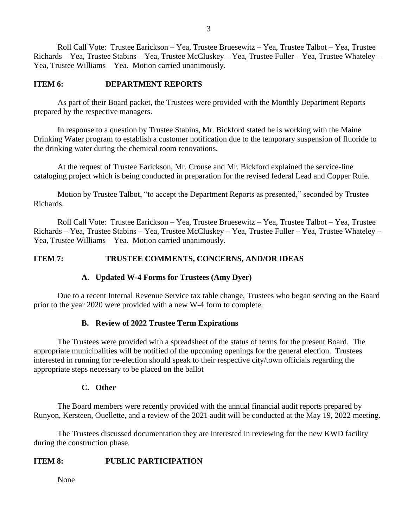Roll Call Vote: Trustee Earickson – Yea, Trustee Bruesewitz – Yea, Trustee Talbot – Yea, Trustee Richards – Yea, Trustee Stabins – Yea, Trustee McCluskey – Yea, Trustee Fuller – Yea, Trustee Whateley – Yea, Trustee Williams – Yea. Motion carried unanimously.

### **ITEM 6: DEPARTMENT REPORTS**

As part of their Board packet, the Trustees were provided with the Monthly Department Reports prepared by the respective managers.

In response to a question by Trustee Stabins, Mr. Bickford stated he is working with the Maine Drinking Water program to establish a customer notification due to the temporary suspension of fluoride to the drinking water during the chemical room renovations.

At the request of Trustee Earickson, Mr. Crouse and Mr. Bickford explained the service-line cataloging project which is being conducted in preparation for the revised federal Lead and Copper Rule.

Motion by Trustee Talbot, "to accept the Department Reports as presented," seconded by Trustee Richards.

Roll Call Vote: Trustee Earickson – Yea, Trustee Bruesewitz – Yea, Trustee Talbot – Yea, Trustee Richards – Yea, Trustee Stabins – Yea, Trustee McCluskey – Yea, Trustee Fuller – Yea, Trustee Whateley – Yea, Trustee Williams – Yea. Motion carried unanimously.

#### **ITEM 7: TRUSTEE COMMENTS, CONCERNS, AND/OR IDEAS**

### **A. Updated W-4 Forms for Trustees (Amy Dyer)**

Due to a recent Internal Revenue Service tax table change, Trustees who began serving on the Board prior to the year 2020 were provided with a new W-4 form to complete.

#### **B. Review of 2022 Trustee Term Expirations**

The Trustees were provided with a spreadsheet of the status of terms for the present Board. The appropriate municipalities will be notified of the upcoming openings for the general election. Trustees interested in running for re-election should speak to their respective city/town officials regarding the appropriate steps necessary to be placed on the ballot

#### **C. Other**

The Board members were recently provided with the annual financial audit reports prepared by Runyon, Kersteen, Ouellette, and a review of the 2021 audit will be conducted at the May 19, 2022 meeting.

The Trustees discussed documentation they are interested in reviewing for the new KWD facility during the construction phase.

#### **ITEM 8: PUBLIC PARTICIPATION**

None